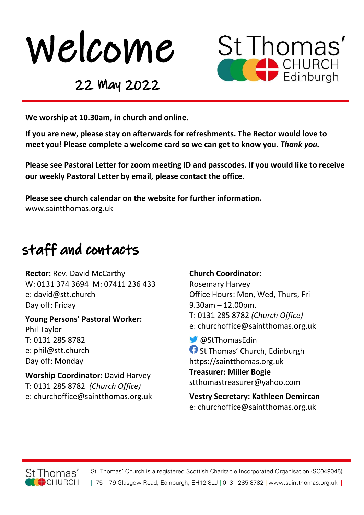



22 May 2022

We worship at 10.30am, in church and online.

If you are new, please stay on afterwards for refreshments. The Rector would love to meet you! Please complete a welcome card so we can get to know you. Thank you.

Please see Pastoral Letter for zoom meeting ID and passcodes. If you would like to receive our weekly Pastoral Letter by email, please contact the office.

Please see church calendar on the website for further information. www.saintthomas.org.uk

### staff and contacts

Rector: Rev. David McCarthy W: 0131 374 3694 M: 07411 236 433 e: david@stt.church Day off: Friday

Young Persons' Pastoral Worker: Phil Taylor T: 0131 285 8782 e: phil@stt.church Day off: Monday

Worship Coordinator: David Harvey T: 0131 285 8782 (Church Office) e: churchoffice@saintthomas.org.uk

#### Church Coordinator:

Rosemary Harvey Office Hours: Mon, Wed, Thurs, Fri 9.30am – 12.00pm. T: 0131 285 8782 (Church Office) e: churchoffice@saintthomas.org.uk

 @StThomasEdin **f** St Thomas' Church, Edinburgh https://saintthomas.org.uk Treasurer: Miller Bogie stthomastreasurer@yahoo.com

Vestry Secretary: Kathleen Demircan e: churchoffice@saintthomas.org.uk



St. Thomas' Church is a registered Scottish Charitable Incorporated Organisation (SC049045) | 75 - 79 Glasgow Road, Edinburgh, EH12 8LJ | 0131 285 8782 | www.saintthomas.org.uk |